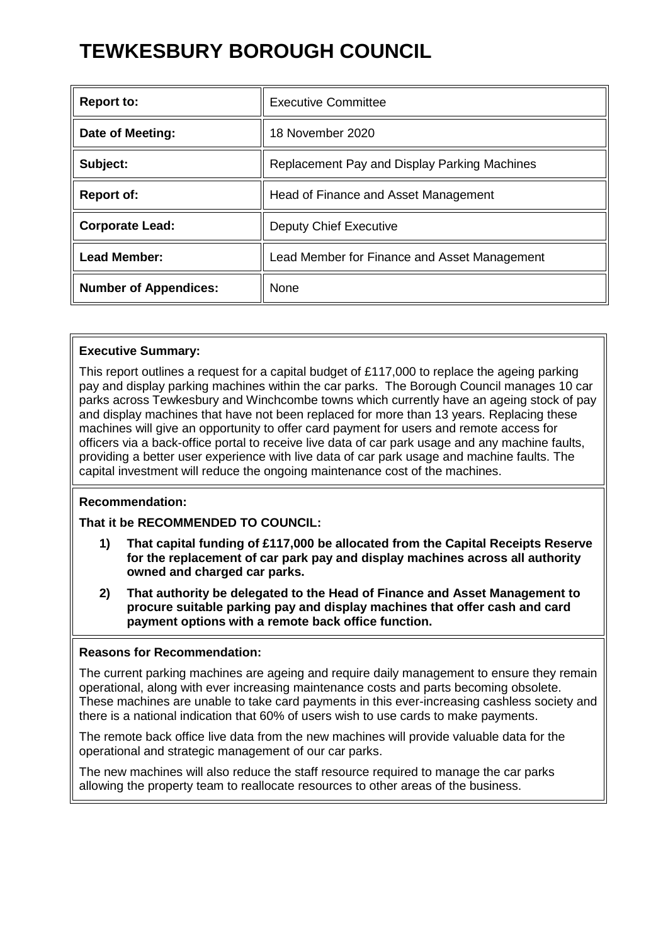# **TEWKESBURY BOROUGH COUNCIL**

| <b>Report to:</b>            | Executive Committee                          |
|------------------------------|----------------------------------------------|
| Date of Meeting:             | 18 November 2020                             |
| Subject:                     | Replacement Pay and Display Parking Machines |
| <b>Report of:</b>            | Head of Finance and Asset Management         |
| <b>Corporate Lead:</b>       | <b>Deputy Chief Executive</b>                |
| <b>Lead Member:</b>          | Lead Member for Finance and Asset Management |
| <b>Number of Appendices:</b> | None                                         |

# **Executive Summary:**

This report outlines a request for a capital budget of £117,000 to replace the ageing parking pay and display parking machines within the car parks. The Borough Council manages 10 car parks across Tewkesbury and Winchcombe towns which currently have an ageing stock of pay and display machines that have not been replaced for more than 13 years. Replacing these machines will give an opportunity to offer card payment for users and remote access for officers via a back-office portal to receive live data of car park usage and any machine faults, providing a better user experience with live data of car park usage and machine faults. The capital investment will reduce the ongoing maintenance cost of the machines.

#### **Recommendation:**

#### **That it be RECOMMENDED TO COUNCIL:**

- **1) That capital funding of £117,000 be allocated from the Capital Receipts Reserve for the replacement of car park pay and display machines across all authority owned and charged car parks.**
- **2) That authority be delegated to the Head of Finance and Asset Management to procure suitable parking pay and display machines that offer cash and card payment options with a remote back office function.**

#### **Reasons for Recommendation:**

The current parking machines are ageing and require daily management to ensure they remain operational, along with ever increasing maintenance costs and parts becoming obsolete. These machines are unable to take card payments in this ever-increasing cashless society and there is a national indication that 60% of users wish to use cards to make payments.

The remote back office live data from the new machines will provide valuable data for the operational and strategic management of our car parks.

The new machines will also reduce the staff resource required to manage the car parks allowing the property team to reallocate resources to other areas of the business.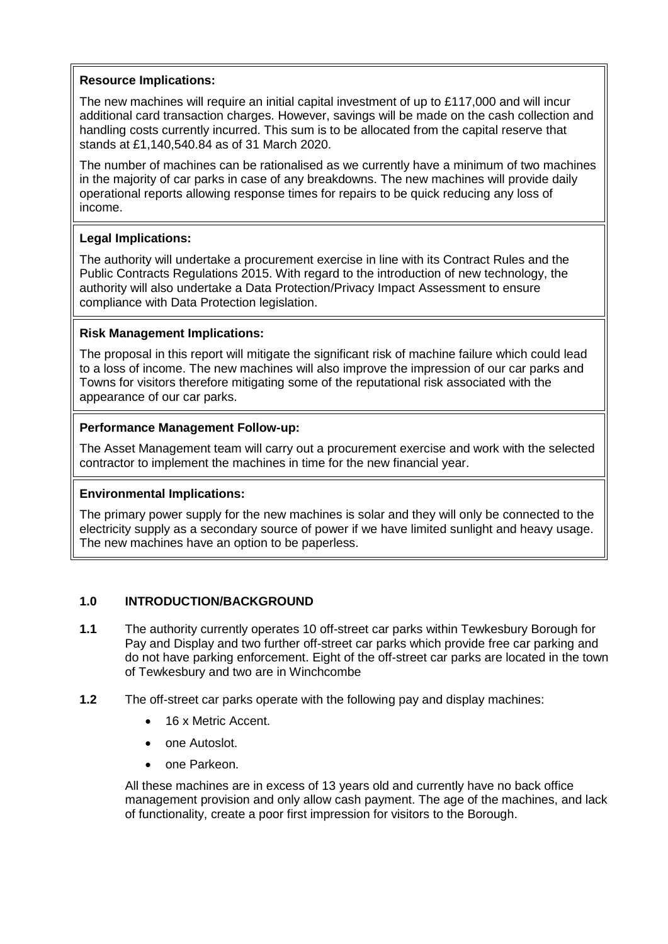## **Resource Implications:**

The new machines will require an initial capital investment of up to £117,000 and will incur additional card transaction charges. However, savings will be made on the cash collection and handling costs currently incurred. This sum is to be allocated from the capital reserve that stands at £1,140,540.84 as of 31 March 2020.

The number of machines can be rationalised as we currently have a minimum of two machines in the majority of car parks in case of any breakdowns. The new machines will provide daily operational reports allowing response times for repairs to be quick reducing any loss of income.

# **Legal Implications:**

The authority will undertake a procurement exercise in line with its Contract Rules and the Public Contracts Regulations 2015. With regard to the introduction of new technology, the authority will also undertake a Data Protection/Privacy Impact Assessment to ensure compliance with Data Protection legislation.

## **Risk Management Implications:**

The proposal in this report will mitigate the significant risk of machine failure which could lead to a loss of income. The new machines will also improve the impression of our car parks and Towns for visitors therefore mitigating some of the reputational risk associated with the appearance of our car parks.

## **Performance Management Follow-up:**

The Asset Management team will carry out a procurement exercise and work with the selected contractor to implement the machines in time for the new financial year.

#### **Environmental Implications:**

The primary power supply for the new machines is solar and they will only be connected to the electricity supply as a secondary source of power if we have limited sunlight and heavy usage. The new machines have an option to be paperless.

#### **1.0 INTRODUCTION/BACKGROUND**

- **1.1** The authority currently operates 10 off-street car parks within Tewkesbury Borough for Pay and Display and two further off-street car parks which provide free car parking and do not have parking enforcement. Eight of the off-street car parks are located in the town of Tewkesbury and two are in Winchcombe
- **1.2** The off-street car parks operate with the following pay and display machines:
	- 16 x Metric Accent.
	- one Autoslot.
	- one Parkeon.

All these machines are in excess of 13 years old and currently have no back office management provision and only allow cash payment. The age of the machines, and lack of functionality, create a poor first impression for visitors to the Borough.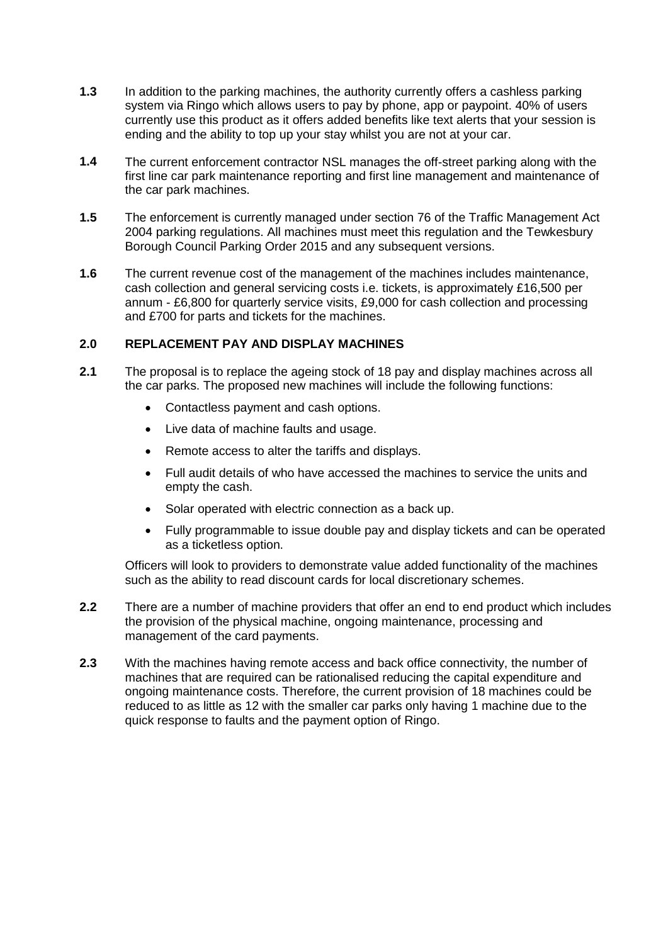- **1.3** In addition to the parking machines, the authority currently offers a cashless parking system via Ringo which allows users to pay by phone, app or paypoint. 40% of users currently use this product as it offers added benefits like text alerts that your session is ending and the ability to top up your stay whilst you are not at your car.
- **1.4** The current enforcement contractor NSL manages the off-street parking along with the first line car park maintenance reporting and first line management and maintenance of the car park machines.
- **1.5** The enforcement is currently managed under section 76 of the Traffic Management Act 2004 parking regulations. All machines must meet this regulation and the Tewkesbury Borough Council Parking Order 2015 and any subsequent versions.
- **1.6** The current revenue cost of the management of the machines includes maintenance, cash collection and general servicing costs i.e. tickets, is approximately £16,500 per annum - £6,800 for quarterly service visits, £9,000 for cash collection and processing and £700 for parts and tickets for the machines.

#### **2.0 REPLACEMENT PAY AND DISPLAY MACHINES**

- **2.1** The proposal is to replace the ageing stock of 18 pay and display machines across all the car parks. The proposed new machines will include the following functions:
	- Contactless payment and cash options.
	- Live data of machine faults and usage.
	- Remote access to alter the tariffs and displays.
	- Full audit details of who have accessed the machines to service the units and empty the cash.
	- Solar operated with electric connection as a back up.
	- Fully programmable to issue double pay and display tickets and can be operated as a ticketless option.

Officers will look to providers to demonstrate value added functionality of the machines such as the ability to read discount cards for local discretionary schemes.

- **2.2** There are a number of machine providers that offer an end to end product which includes the provision of the physical machine, ongoing maintenance, processing and management of the card payments.
- **2.3** With the machines having remote access and back office connectivity, the number of machines that are required can be rationalised reducing the capital expenditure and ongoing maintenance costs. Therefore, the current provision of 18 machines could be reduced to as little as 12 with the smaller car parks only having 1 machine due to the quick response to faults and the payment option of Ringo.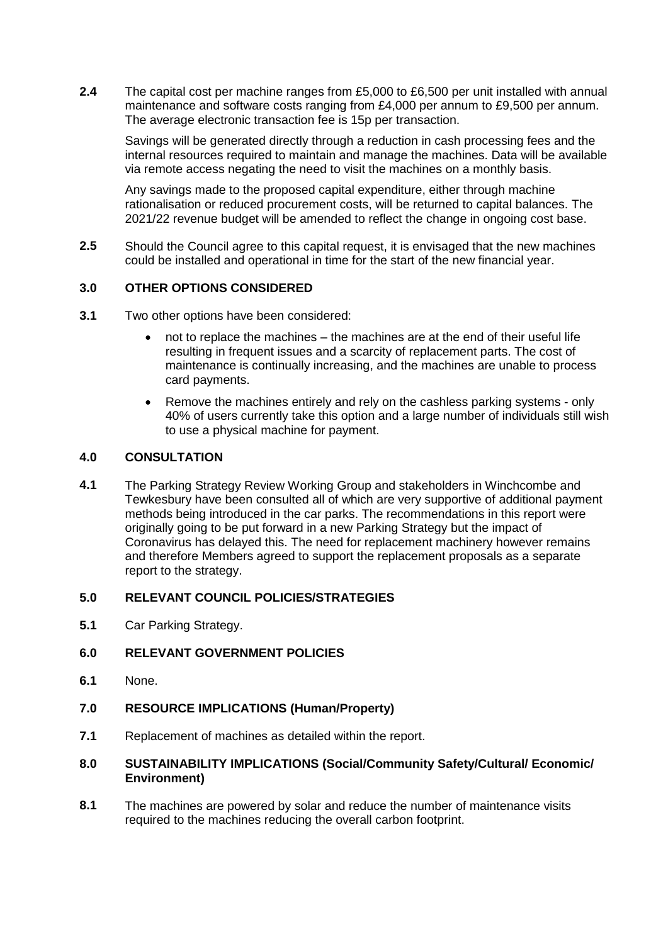**2.4** The capital cost per machine ranges from £5,000 to £6,500 per unit installed with annual maintenance and software costs ranging from £4,000 per annum to £9,500 per annum. The average electronic transaction fee is 15p per transaction.

Savings will be generated directly through a reduction in cash processing fees and the internal resources required to maintain and manage the machines. Data will be available via remote access negating the need to visit the machines on a monthly basis.

Any savings made to the proposed capital expenditure, either through machine rationalisation or reduced procurement costs, will be returned to capital balances. The 2021/22 revenue budget will be amended to reflect the change in ongoing cost base.

**2.5** Should the Council agree to this capital request, it is envisaged that the new machines could be installed and operational in time for the start of the new financial year.

## **3.0 OTHER OPTIONS CONSIDERED**

- **3.1** Two other options have been considered:
	- not to replace the machines the machines are at the end of their useful life resulting in frequent issues and a scarcity of replacement parts. The cost of maintenance is continually increasing, and the machines are unable to process card payments.
	- Remove the machines entirely and rely on the cashless parking systems only 40% of users currently take this option and a large number of individuals still wish to use a physical machine for payment.

#### **4.0 CONSULTATION**

**4.1** The Parking Strategy Review Working Group and stakeholders in Winchcombe and Tewkesbury have been consulted all of which are very supportive of additional payment methods being introduced in the car parks. The recommendations in this report were originally going to be put forward in a new Parking Strategy but the impact of Coronavirus has delayed this. The need for replacement machinery however remains and therefore Members agreed to support the replacement proposals as a separate report to the strategy.

## **5.0 RELEVANT COUNCIL POLICIES/STRATEGIES**

**5.1** Car Parking Strategy.

#### **6.0 RELEVANT GOVERNMENT POLICIES**

- **6.1** None.
- **7.0 RESOURCE IMPLICATIONS (Human/Property)**
- **7.1** Replacement of machines as detailed within the report.

#### **8.0 SUSTAINABILITY IMPLICATIONS (Social/Community Safety/Cultural/ Economic/ Environment)**

**8.1** The machines are powered by solar and reduce the number of maintenance visits required to the machines reducing the overall carbon footprint.